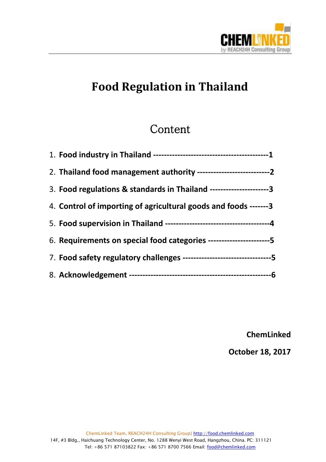

## **Food Regulation in Thailand**

 $\overline{a}$ 

### Content

| 2. Thailand food management authority ------------------------------2    |
|--------------------------------------------------------------------------|
| 3. Food regulations & standards in Thailand ----------------------3      |
| 4. Control of importing of agricultural goods and foods -------3         |
|                                                                          |
| 6. Requirements on special food categories -----------------------5      |
| 7. Food safety regulatory challenges ----------------------------------5 |
|                                                                          |

**ChemLinked** 

**October 18, 2017**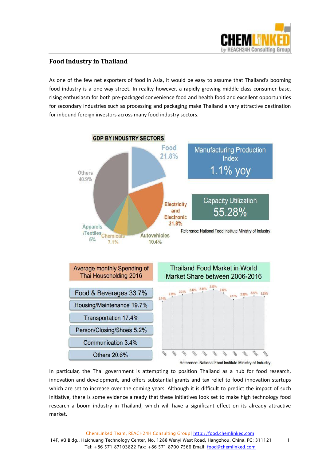

#### **Food Industry in Thailand**

As one of the few net exporters of food in Asia, it would be easy to assume that Thailand's booming food industry is a one-way street. In reality however, a rapidly growing middle-class consumer base, rising enthusiasm for both pre-packaged convenience food and health food and excellent opportunities for secondary industries such as processing and packaging make Thailand a very attractive destination for inbound foreign investors across many food industry sectors.

 $\overline{a}$ 



In particular, the Thai government is attempting to position Thailand as a hub for food research, innovation and development, and offers substantial grants and tax relief to food innovation startups which are set to increase over the coming years. Although it is difficult to predict the impact of such initiative, there is some evidence already that these initiatives look set to make high technology food research a boom industry in Thailand, which will have a significant effect on its already attractive market.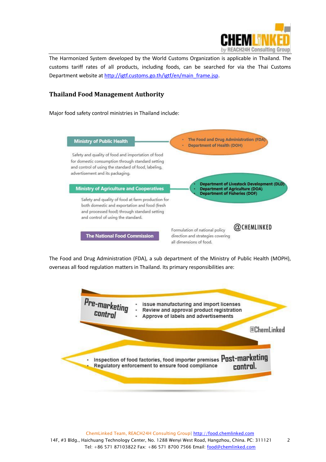

The Harmonized System developed by the World Customs Organization is applicable in Thailand. The customs tariff rates of all products, including foods, can be searched for via the Thai Customs Department website a[t http://igtf.customs.go.th/igtf/en/main\\_frame.jsp.](http://igtf.customs.go.th/igtf/en/main_frame.jsp)

 $\overline{a}$ 

#### **Thailand Food Management Authority**

Major food safety control ministries in Thailand include:



The Food and Drug Administration (FDA), a sub department of the Ministry of Public Health (MOPH), overseas all food regulation matters in Thailand. Its primary responsibilities are:

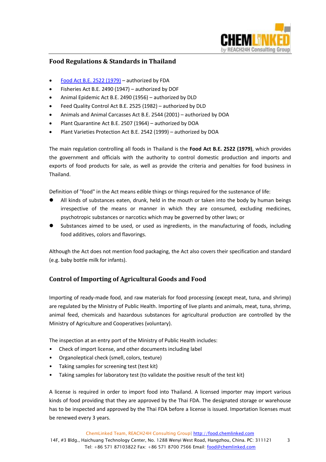

#### **Food Regulations & Standards in Thailand**

- [Food Act B.E. 2522 \(1979\)](https://food.chemlinked.com/system/files/regularoty-doc/thailand_food_act.pdf) authorized by FDA
- Fisheries Act B.E. 2490 (1947) authorized by DOF
- Animal Epidemic Act B.E. 2490 (1956) authorized by DLD
- Feed Quality Control Act B.E. 2525 (1982) authorized by DLD
- Animals and Animal Carcasses Act B.E. 2544 (2001) authorized by DOA
- Plant Quarantine Act B.E. 2507 (1964) authorized by DOA
- Plant Varieties Protection Act B.E. 2542 (1999) authorized by DOA

The main regulation controlling all foods in Thailand is the **Food Act B.E. 2522 (1979)**, which provides the government and officials with the authority to control domestic production and imports and exports of food products for sale, as well as provide the criteria and penalties for food business in Thailand.

 $\overline{a}$ 

Definition of "food" in the Act means edible things or things required for the sustenance of life:

- All kinds of substances eaten, drunk, held in the mouth or taken into the body by human beings irrespective of the means or manner in which they are consumed, excluding medicines, psychotropic substances or narcotics which may be governed by other laws; or
- Substances aimed to be used, or used as ingredients, in the manufacturing of foods, including food additives, colors and flavorings.

Although the Act does not mention food packaging, the Act also covers their specification and standard (e.g. baby bottle milk for infants).

#### **Control of Importing of Agricultural Goods and Food**

Importing of ready-made food, and raw materials for food processing (except meat, tuna, and shrimp) are regulated by the Ministry of Public Health. Importing of live plants and animals, meat, tuna, shrimp, animal feed, chemicals and hazardous substances for agricultural production are controlled by the Ministry of Agriculture and Cooperatives (voluntary).

The inspection at an entry port of the Ministry of Public Health includes:

- Check of import license, and other documents including label
- Organoleptical check (smell, colors, texture)
- Taking samples for screening test (test kit)
- Taking samples for laboratory test (to validate the positive result of the test kit)

A license is required in order to import food into Thailand. A licensed importer may import various kinds of food providing that they are approved by the Thai FDA. The designated storage or warehouse has to be inspected and approved by the Thai FDA before a license is issued. Importation licenses must be renewed every 3 years.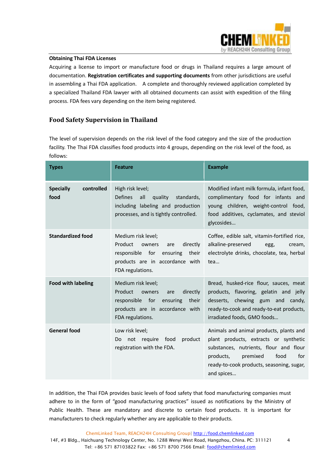

#### **Obtaining Thai FDA Licenses**

Acquiring a license to import or manufacture food or drugs in Thailand requires a large amount of documentation. **Registration certificates and supporting documents** from other jurisdictions are useful in assembling a Thai FDA application. A complete and thoroughly reviewed application completed by a specialized Thailand FDA lawyer with all obtained documents can assist with expedition of the filing process. FDA fees vary depending on the item being registered.

 $\overline{a}$ 

#### **Food Safety Supervision in Thailand**

The level of supervision depends on the risk level of the food category and the size of the production facility. The Thai FDA classifies food products into 4 groups, depending on the risk level of the food, as follows:

| <b>Types</b>                           | <b>Feature</b>                                                                                                                                            | <b>Example</b>                                                                                                                                                                                                                |  |  |  |
|----------------------------------------|-----------------------------------------------------------------------------------------------------------------------------------------------------------|-------------------------------------------------------------------------------------------------------------------------------------------------------------------------------------------------------------------------------|--|--|--|
| controlled<br><b>Specially</b><br>food | High risk level;<br><b>Defines</b><br>all<br>quality<br>standards,<br>including labeling and production<br>processes, and is tightly controlled.          | Modified infant milk formula, infant food,<br>complimentary food for infants and<br>young children, weight-control food,<br>food additives, cyclamates, and steviol<br>glycosides                                             |  |  |  |
| <b>Standardized food</b>               | Medium risk level;<br>Product<br>directly<br>owners<br>are<br>responsible for<br>ensuring<br>their<br>products are in accordance with<br>FDA regulations. | Coffee, edible salt, vitamin-fortified rice,<br>alkaline-preserved<br>egg,<br>cream,<br>electrolyte drinks, chocolate, tea, herbal<br>tea                                                                                     |  |  |  |
| <b>Food with labeling</b>              | Medium risk level;<br>Product<br>owners<br>directly<br>are<br>responsible for<br>ensuring<br>their<br>products are in accordance with<br>FDA regulations. | Bread, husked-rice flour, sauces, meat<br>products, flavoring, gelatin and jelly<br>desserts, chewing gum and candy,<br>ready-to-cook and ready-to-eat products,<br>irradiated foods, GMO foods                               |  |  |  |
| <b>General food</b>                    | Low risk level;<br>not require<br>food<br>product<br>Do<br>registration with the FDA.                                                                     | Animals and animal products, plants and<br>plant products, extracts or synthetic<br>substances, nutrients, flour and flour<br>food<br>products,<br>premixed<br>for<br>ready-to-cook products, seasoning, sugar,<br>and spices |  |  |  |

In addition, the Thai FDA provides basic levels of food safety that food manufacturing companies must adhere to in the form of "good manufacturing practices" issued as notifications by the Ministry of Public Health. These are mandatory and discrete to certain food products. It is important for manufacturers to check regularly whether any are applicable to their products.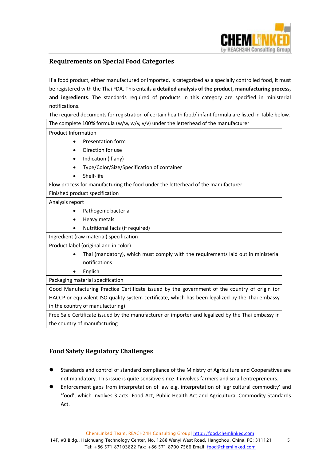

#### **Requirements on Special Food Categories**

If a food product, either manufactured or imported, is categorized as a specially controlled food, it must be registered with the Thai FDA. This entails **a detailed analysis of the product, manufacturing process, and ingredients**. The standards required of products in this category are specified in ministerial notifications.

 $\overline{a}$ 

The required documents for registration of certain health food/ infant formula are listed in Table below. The complete 100% formula (w/w, w/v, v/v) under the letterhead of the manufacturer

Product Information

- Presentation form
- Direction for use
- Indication (if any)
- Type/Color/Size/Specification of container
- Shelf-life

Flow process for manufacturing the food under the letterhead of the manufacturer

Finished product specification

#### Analysis report

- Pathogenic bacteria
- Heavy metals
- Nutritional facts (if required)

Ingredient (raw material) specification

Product label (original and in color)

- Thai (mandatory), which must comply with the requirements laid out in ministerial notifications
- English

Packaging material specification

Good Manufacturing Practice Certificate issued by the government of the country of origin (or HACCP or equivalent ISO quality system certificate, which has been legalized by the Thai embassy in the country of manufacturing)

Free Sale Certificate issued by the manufacturer or importer and legalized by the Thai embassy in the country of manufacturing

#### **Food Safety Regulatory Challenges**

- Standards and control of standard compliance of the Ministry of Agriculture and Cooperatives are not mandatory. This issue is quite sensitive since it involves farmers and small entrepreneurs.
- Enforcement gaps from interpretation of law e.g. interpretation of 'agricultural commodity' and 'food', which involves 3 acts: Food Act, Public Health Act and Agricultural Commodity Standards Act.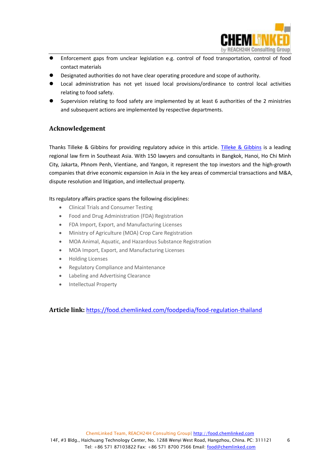

- $\overline{a}$  Enforcement gaps from unclear legislation e.g. control of food transportation, control of food contact materials
- Designated authorities do not have clear operating procedure and scope of authority.
- Local administration has not yet issued local provisions/ordinance to control local activities relating to food safety.
- Supervision relating to food safety are implemented by at least 6 authorities of the 2 ministries and subsequent actions are implemented by respective departments.

#### **Acknowledgement**

Thanks Tilleke & Gibbins for providing regulatory advice in this article. [Tilleke & Gibbins](http://www.tilleke.com/) is a leading regional law firm in Southeast Asia. With 150 lawyers and consultants in Bangkok, Hanoi, Ho Chi Minh City, Jakarta, Phnom Penh, Vientiane, and Yangon, it represent the top investors and the high-growth companies that drive economic expansion in Asia in the key areas of commercial transactions and M&A, dispute resolution and litigation, and intellectual property.

Its regulatory affairs practice spans the following disciplines:

- Clinical Trials and Consumer Testing
- Food and Drug Administration (FDA) Registration
- FDA Import, Export, and Manufacturing Licenses
- Ministry of Agriculture (MOA) Crop Care Registration
- MOA Animal, Aquatic, and Hazardous Substance Registration
- MOA Import, Export, and Manufacturing Licenses
- Holding Licenses
- Regulatory Compliance and Maintenance
- Labeling and Advertising Clearance
- Intellectual Property

**Article link:** <https://food.chemlinked.com/foodpedia/food-regulation-thailand>